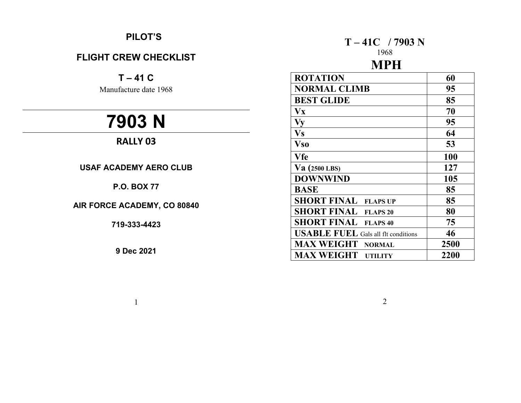# **PILOT'S**

# **FLIGHT CREW CHECKLIST**

 $T - 41 C$ 

Manufacture date 1968

# **7903 N**

# **RALLY 03**

**USAF ACADEMY AERO CLUB** 

## **P.O. BOX 77**

**AIR FORCE ACADEMY, CO 80840** 

**719-333-4423** 

**9 Dec 2021** 

1

# **T – 41C / 7903 N**

# 1968

#### **MPH ROTATION 60 NORMAL CLIMB** 95 **BEST GLIDE** 85  $V_{\rm X}$  70 **Vy 95**   $V<sub>S</sub>$  64 **Vso 53 Vfe** 100 **Va (2500 LBS) 127 DOWNWIND** 105 **BASE** 85 **SHORT FINAL FLAPS UP** 85 **SHORT FINAL FLAPS 20** 80 **SHORT FINAL FLAPS 40** 75 **USABLE FUEL** Gals all flt conditions **46 MAX WEIGHT NORMAL 2500 MAX WEIGHT UTILITY 2200**

2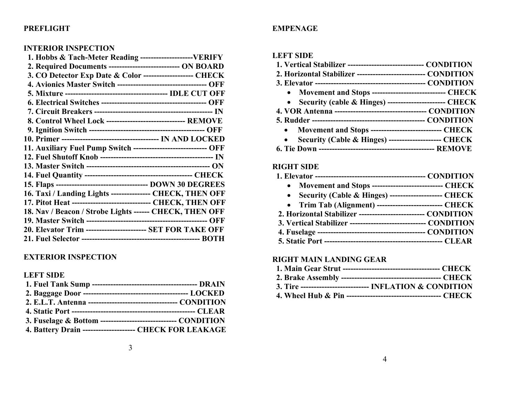#### **PREFLIGHT**

#### **INTERIOR INSPECTION**

| 2. Required Documents ------------------------------ ON BOARD     |  |
|-------------------------------------------------------------------|--|
| 3. CO Detector Exp Date & Color ------------------- CHECK         |  |
| 4. Avionics Master Switch ----------------------------------- OFF |  |
|                                                                   |  |
|                                                                   |  |
|                                                                   |  |
| 8. Control Wheel Lock ------------------------------- REMOVE      |  |
|                                                                   |  |
|                                                                   |  |
| 11. Auxiliary Fuel Pump Switch ---------------------------- OFF   |  |
|                                                                   |  |
|                                                                   |  |
|                                                                   |  |
|                                                                   |  |
| 16. Taxi / Landing Lights --------------- CHECK, THEN OFF         |  |
| 17. Pitot Heat ------------------------------ CHECK, THEN OFF     |  |
| 18. Nav / Beacon / Strobe Lights ------ CHECK, THEN OFF           |  |
|                                                                   |  |
| 20. Elevator Trim ----------------------- SET FOR TAKE OFF        |  |
|                                                                   |  |

#### **EXTERIOR INSPECTION**

#### **LEFT SIDE**

| 3. Fuselage & Bottom ------------------------------ CONDITION |  |
|---------------------------------------------------------------|--|
| 4. Battery Drain --------------------- CHECK FOR LEAKAGE      |  |

#### **EMPENAGE**

#### **LEFT SIDE**

| 1. Vertical Stabilizer ------------------------------ CONDITION    |
|--------------------------------------------------------------------|
| 2. Horizontal Stabilizer --------------------------- CONDITION     |
|                                                                    |
| • Movement and Stops ------------------------------ CHECK          |
| • Security (cable & Hinges) --------------------------- CHECK      |
|                                                                    |
|                                                                    |
| Movement and Stops ---------------------------- CHECK<br>$\bullet$ |
| Security (Cable & Hinges) --------------------- CHECK<br>$\bullet$ |
|                                                                    |

#### **RIGHT SIDE**

|--|--|--|--|--|--|--|--|--|--|

- **Movement and Stops --------------------------- CHECK**
- **Security (Cable & Hinges) -------------------- CHECK**
- **Trim Tab (Alignment) ------------------------- CHECK**
- **2. Horizontal Stabilizer ------------------------- CONDITION**
- **3. Vertical Stabilizer ----------------------------- CONDITION**
- **4. Fuselage ----------------------------------------- CONDITION**
- **5. Static Port --------------------------------------------- CLEAR**

#### **RIGHT MAIN LANDING GEAR**

| 3. Tire ------------------------------- INFLATION $&$ CONDITION |
|-----------------------------------------------------------------|

 **4. Wheel Hub & Pin ------------------------------------ CHECK**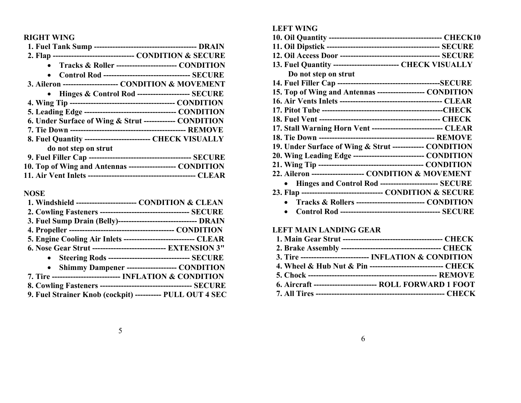**RIGHT WING** 

| 2. Flap ---------------------------------- CONDITION & SECURE |
|---------------------------------------------------------------|
| Tracks & Roller ----------------------- CONDITION             |
| <b>Control Rod --------------------------------- SECURE</b>   |
| 3. Aileron ---------------------- CONDITION & MOVEMENT        |
| • Hinges & Control Rod --------------------- SECURE           |
|                                                               |
|                                                               |
| 6. Under Surface of Wing & Strut ------------ CONDITION       |
|                                                               |
| 8. Fuel Quantity -------------------------- CHECK VISUALLY    |
| do not step on strut                                          |
|                                                               |
| 10. Top of Wing and Antennas ------------------ CONDITION     |
|                                                               |

#### **NOSE**

| 1. Windshield ----------------------- CONDITION & CLEAN          |
|------------------------------------------------------------------|
|                                                                  |
| 3. Fuel Sump Drain (Belly)-------------------------------- DRAIN |
|                                                                  |
| 5. Engine Cooling Air Inlets ----------------------------- CLEAR |
| 6. Nose Gear Strut ----------------------------- EXTENSION 3"    |
| • Steering Rods -------------------------------- SECURE          |
| • Shimmy Dampener --------------------- CONDITION                |
| 7. Tire -------------------------- INFLATION & CONDITION         |
|                                                                  |
| 9. Fuel Strainer Knob (cockpit) ---------- PULL OUT 4 SEC        |

#### **LEFT WING**

| 13. Fuel Quantity -------------------------- CHECK VISUALLY    |
|----------------------------------------------------------------|
| Do not step on strut                                           |
|                                                                |
| 15. Top of Wing and Antennas ------------------ CONDITION      |
|                                                                |
|                                                                |
|                                                                |
| 17. Stall Warning Horn Vent ---------------------------- CLEAR |
|                                                                |
| 19. Under Surface of Wing & Strut ------------ CONDITION       |
| 20. Wing Leading Edge --------------------------- CONDITION    |
|                                                                |
| 22. Aileron -------------------- CONDITION & MOVEMENT          |
| Hinges and Control Rod ---------------------- SECURE           |
| 23. Flap -------------------------------- CONDITION & SECURE   |
| Tracks & Rollers --------------------------- CONDITION         |
| $C_{2} = 1 \, \text{D} \cdot \text{J}$<br>$C$ <i>ratine</i>    |

**Control Rod -------------------------------------- SECURE** 

#### **LEFT MAIN LANDING GEAR**

| 3. Tire --------------------------- INFLATION & CONDITION    |
|--------------------------------------------------------------|
| 4. Wheel & Hub Nut & Pin ----------------------------- CHECK |
|                                                              |
| 6. Aircraft -------------------------- ROLL FORWARD 1 FOOT   |
|                                                              |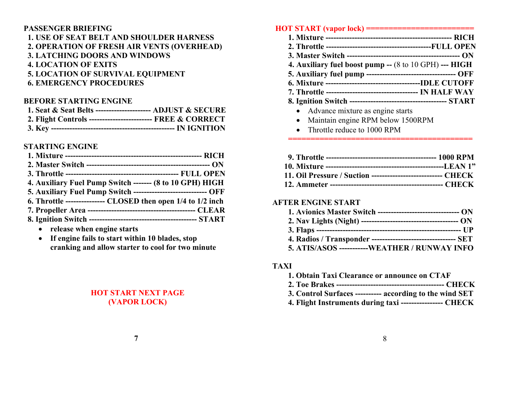## **PASSENGER BRIEFING 1. USE OF SEAT BELT AND SHOULDER HARNESS 2. OPERATION OF FRESH AIR VENTS (OVERHEAD)**

 **3. LATCHING DOORS AND WINDOWS 4. LOCATION OF EXITS 5. LOCATION OF SURVIVAL EQUIPMENT 6. EMERGENCY PROCEDURES** 

#### **BEFORE STARTING ENGINE**

| 1. Seat & Seat Belts ---------------------- ADJUST & SECURE  |  |
|--------------------------------------------------------------|--|
| 2. Flight Controls -------------------------- FREE & CORRECT |  |
|                                                              |  |

#### **STARTING ENGINE**

| 4. Auxiliary Fuel Pump Switch ------- (8 to 10 GPH) HIGH        |
|-----------------------------------------------------------------|
| 5. Auxiliary Fuel Pump Switch ----------------------------- OFF |
| 6. Throttle ---------------- CLOSED then open 1/4 to 1/2 inch   |
|                                                                 |
|                                                                 |

- $\bullet$ **release when engine starts**
- $\bullet$  **If engine fails to start within 10 blades, stop cranking and allow starter to cool for two minute**

## **HOT START NEXT PAGE (VAPOR LOCK)**

## **HOT START (vapor lock) ========================**

- **1. Mixture ------------------------------------------------ RICH**
- **2. Throttle ----------------------------------------FULL OPEN** 
	- **3. Master Switch ------------------------------------------- ON**
	- **4. Auxiliary fuel boost pump --** (8 to 10 GPH) **--- HIGH**
	- **5. Auxiliary fuel pump ---------------------------------- OFF**
	- **6. Mixture ------------------------------------IDLE CUTOFF**
	- **7. Throttle ----------------------------------- IN HALF WAY**
	- **8. Ignition Switch ------------------------------------- START** 
		- Advance mixture as engine starts
		- Maintain engine RPM below 1500RPM
		- Throttle reduce to 1000 RPM

| 11. Oil Pressure / Suction ---------------------------- CHECK |  |
|---------------------------------------------------------------|--|
|                                                               |  |

 **=========================================** 

## **AFTER ENGINE START**

| 1. Avionics Master Switch -------------------------------- ON |
|---------------------------------------------------------------|
|                                                               |
|                                                               |
|                                                               |
| 5. ATIS/ASOS -----------WEATHER / RUNWAY INFO                 |

## **TAXI**

| 1. Obtain Taxi Clearance or announce on CTAF             |
|----------------------------------------------------------|
|                                                          |
| 3. Control Surfaces ---------- according to the wind SET |
| 4. Flight Instruments during taxi ---------------- CHECK |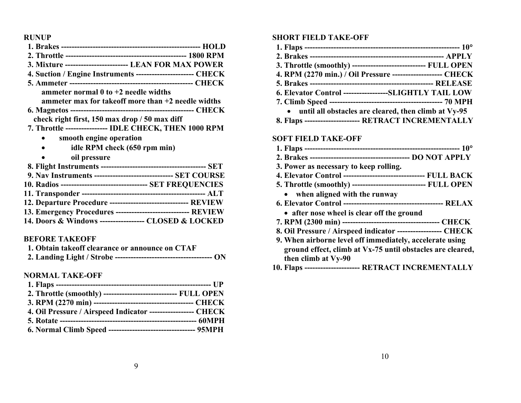**RUNUP** 

| 3. Mixture ------------------------ LEAN FOR MAX POWER          |  |
|-----------------------------------------------------------------|--|
| 4. Suction / Engine Instruments ----------------------- CHECK   |  |
|                                                                 |  |
| ammeter normal $0$ to $+2$ needle widths                        |  |
| ammeter max for take of more than $+2$ needle widths            |  |
|                                                                 |  |
| check right first, 150 max drop / 50 max diff                   |  |
| 7. Throttle ---------------- IDLE CHECK, THEN 1000 RPM          |  |
| smooth engine operation                                         |  |
| idle RPM check (650 rpm min)                                    |  |
| oil pressure                                                    |  |
|                                                                 |  |
| 9. Nav Instruments ------------------------------- SET COURSE   |  |
| 10. Radios ---------------------------------- SET FREQUENCIES   |  |
|                                                                 |  |
| 12. Departure Procedure -------------------------------- REVIEW |  |
|                                                                 |  |

|   |        | 13. Emergency Procedures ----------------------------- REVIEW |
|---|--------|---------------------------------------------------------------|
| . | ______ | -- - - - - - - - - - -                                        |

## **14. Doors & Windows ----------------- CLOSED & LOCKED**

#### **BEFORE TAKEOFF**

| 1. Obtain takeoff clearance or announce on CTAF |  |
|-------------------------------------------------|--|
|                                                 |  |

#### **NORMAL TAKE-OFF**

| 2. Throttle (smoothly) ------------------------------ FULL OPEN |  |
|-----------------------------------------------------------------|--|
|                                                                 |  |
| 4. Oil Pressure / Airspeed Indicator ------------------ CHECK   |  |
|                                                                 |  |
| 6. Normal Climb Speed ---------------------------------- 95MPH  |  |

#### **SHORT FIELD TAKE-OFF**

| 3. Throttle (smoothly) ----------------------------- FULL OPEN |
|----------------------------------------------------------------|
| 4. RPM (2270 min.) / Oil Pressure -------------------- CHECK   |
|                                                                |
| 6. Elevator Control -----------------SLIGHTLY TAIL LOW         |
|                                                                |
| • until all obstacles are cleared, then climb at Vy-95         |
| 8. Flaps --------------------- RETRACT INCREMENTALLY           |

#### **SOFT FIELD TAKE-OFF**

| 3. Power as necessary to keep rolling.                        |  |  |
|---------------------------------------------------------------|--|--|
| 4. Elevator Control ------------------------------- FULL BACK |  |  |
| 5. Throttle (smoothly) ---------------------------- FULL OPEN |  |  |
| • when aligned with the runway                                |  |  |
|                                                               |  |  |
| • after nose wheel is clear off the ground                    |  |  |
|                                                               |  |  |
| 8. Oil Pressure / Airspeed indicator ----------------- CHECK  |  |  |
| 9. When airborne level off immediately, accelerate using      |  |  |
| ground effect, climb at Vx-75 until obstacles are cleared,    |  |  |
| then climb at Vy-90                                           |  |  |
| 10. Flaps --------------------- RETRACT INCREMENTALLY         |  |  |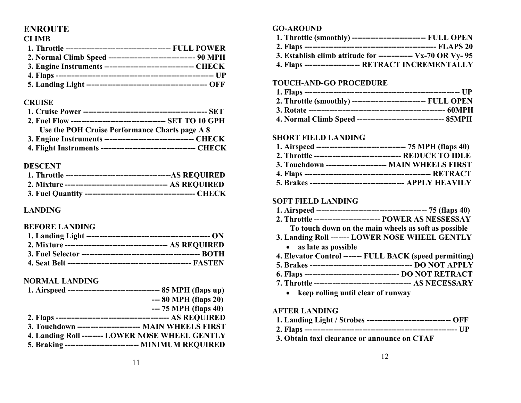# **ENROUTE**

#### **CLIMB**

| 2. Normal Climb Speed ---------------------------------- 90 MPH |
|-----------------------------------------------------------------|
|                                                                 |
|                                                                 |
|                                                                 |

#### **CRUISE**

| Use the POH Cruise Performance Charts page A 8 |  |
|------------------------------------------------|--|
|                                                |  |
|                                                |  |

#### **DESCENT**

## **LANDING**

#### **BEFORE LANDING**

## **NORMAL LANDING**

| $-- 80 \text{ MPH (flaps 20)}$                            |  |
|-----------------------------------------------------------|--|
| $-- 75 \text{ MPH (flaps 40)}$                            |  |
|                                                           |  |
| 3. Touchdown ------------------------ MAIN WHEELS FIRST   |  |
| 4. Landing Roll -------- LOWER NOSE WHEEL GENTLY          |  |
| 5. Braking ----------------------------- MINIMUM REQUIRED |  |

### **GO-AROUND**

| 1. Throttle (smoothly) ----------------------------- FULL OPEN |  |
|----------------------------------------------------------------|--|
|                                                                |  |
| 3. Establish climb attitude for -------------- Vx-70 OR Vy-95  |  |
| 4. Flaps ---------------------- RETRACT INCREMENTALLY          |  |

## **TOUCH-AND-GO PROCEDURE**

| 2. Throttle (smoothly) ----------------------------- FULL OPEN |  |
|----------------------------------------------------------------|--|
|                                                                |  |
|                                                                |  |

#### **SHORT FIELD LANDING**

| 1. Airspeed ---------------------------------- 75 MPH (flaps 40) |  |
|------------------------------------------------------------------|--|
|                                                                  |  |
| 3. Touchdown ----------------------- MAIN WHEELS FIRST           |  |
|                                                                  |  |
|                                                                  |  |

#### **SOFT FIELD LANDING**

| 2. Throttle -------------------------- POWER AS NESSESSAY |  |
|-----------------------------------------------------------|--|

- **To touch down on the main wheels as soft as possible**
- **3. Landing Roll ------- LOWER NOSE WHEEL GENTLY** 
	- **as late as possible**
- **4. Elevator Control ------- FULL BACK (speed permitting)**
- **5. Brakes --------------------------------------- DO NOT APPLY**
- **6. Flaps ------------------------------------ DO NOT RETRACT**
- **7. Throttle ------------------------------------- AS NECESSARY** 
	- **keep rolling until clear of runway**

#### **AFTER LANDING**

| 1. Landing Light / Strobes --------------------------------- OFF |  |
|------------------------------------------------------------------|--|
|------------------------------------------------------------------|--|

- **2. Flaps ---------------------------------------------------------- UP**
- **3. Obtain taxi clearance or announce on CTAF**